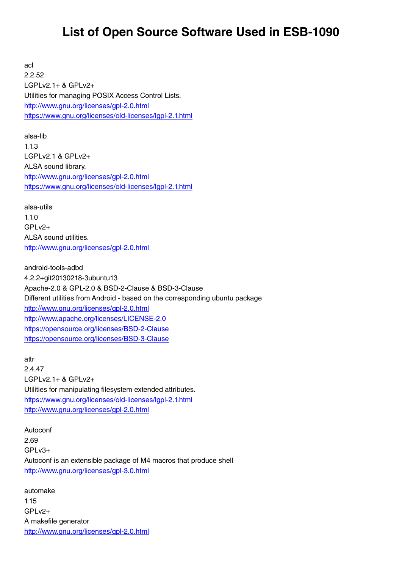## **List of Open Source Software Used in ESB-1090**

acl 2.2.52 LGPLv2.1+ & GPLv2+ Utilities for managing POSIX Access Control Lists. <http://www.gnu.org/licenses/gpl-2.0.html> <https://www.gnu.org/licenses/old-licenses/lgpl-2.1.html>

alsa-lib 1.1.3 LGPLv2.1 & GPLv2+ ALSA sound library. <http://www.gnu.org/licenses/gpl-2.0.html> <https://www.gnu.org/licenses/old-licenses/lgpl-2.1.html>

alsa-utils 1.1.0 GPLv2+ ALSA sound utilities. <http://www.gnu.org/licenses/gpl-2.0.html>

android-tools-adbd 4.2.2+git20130218-3ubuntu13 Apache-2.0 & GPL-2.0 & BSD-2-Clause & BSD-3-Clause Different utilities from Android - based on the corresponding ubuntu package <http://www.gnu.org/licenses/gpl-2.0.html> <http://www.apache.org/licenses/LICENSE-2.0> <https://opensource.org/licenses/BSD-2-Clause> <https://opensource.org/licenses/BSD-3-Clause>

attr 2.4.47 LGPLv2.1+ & GPLv2+ Utilities for manipulating filesystem extended attributes. <https://www.gnu.org/licenses/old-licenses/lgpl-2.1.html> <http://www.gnu.org/licenses/gpl-2.0.html>

Autoconf 2.69 GPLv3+ Autoconf is an extensible package of M4 macros that produce shell <http://www.gnu.org/licenses/gpl-3.0.html>

automake 1.15 GPLv2+ A makefile generator <http://www.gnu.org/licenses/gpl-2.0.html>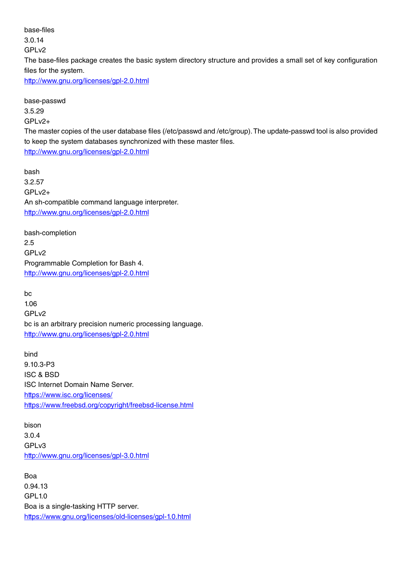base-files 3.0.14 GPL<sub>v2</sub> The base-files package creates the basic system directory structure and provides a small set of key configuration files for the system. <http://www.gnu.org/licenses/gpl-2.0.html>

base-passwd 3.5.29 GPLv2+ The master copies of the user database files (/etc/passwd and /etc/group). The update-passwd tool is also provided to keep the system databases synchronized with these master files. <http://www.gnu.org/licenses/gpl-2.0.html>

bash 3.2.57 GPLv2+ An sh-compatible command language interpreter. <http://www.gnu.org/licenses/gpl-2.0.html>

bash-completion 2.5 GPLv2 Programmable Completion for Bash 4. <http://www.gnu.org/licenses/gpl-2.0.html>

bc 1.06 GPLv2 bc is an arbitrary precision numeric processing language. <http://www.gnu.org/licenses/gpl-2.0.html>

bind 9.10.3-P3 ISC & BSD ISC Internet Domain Name Server. <https://www.isc.org/licenses/> <https://www.freebsd.org/copyright/freebsd-license.html>

bison 3.0.4 GPLv3 <http://www.gnu.org/licenses/gpl-3.0.html>

Boa 0.94.13 GPL1.0 Boa is a single-tasking HTTP server. <https://www.gnu.org/licenses/old-licenses/gpl-1.0.html>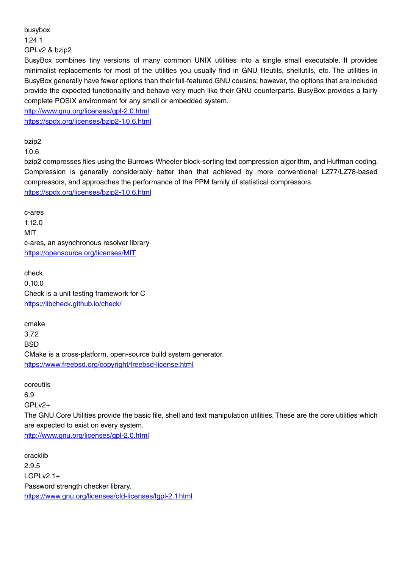## busybox

1.24.1

GPLv2 & bzip2

BusyBox combines tiny versions of many common UNIX utilities into a single small executable. It provides minimalist replacements for most of the utilities you usually find in GNU fileutils, shellutils, etc. The utilities in BusyBox generally have fewer options than their full-featured GNU cousins; however, the options that are included provide the expected functionality and behave very much like their GNU counterparts. BusyBox provides a fairly complete POSIX environment for any small or embedded system.

<http://www.gnu.org/licenses/gpl-2.0.html> <https://spdx.org/licenses/bzip2-1.0.6.html>

bzip2

1.0.6

bzip2 compresses files using the Burrows-Wheeler block-sorting text compression algorithm, and Huffman coding. Compression is generally considerably better than that achieved by more conventional LZ77/LZ78-based compressors, and approaches the performance of the PPM family of statistical compressors. <https://spdx.org/licenses/bzip2-1.0.6.html>

c-ares 1.12.0 MIT c-ares, an asynchronous resolver library <https://opensource.org/licenses/MIT>

check 0.10.0 Check is a unit testing framework for C <https://libcheck.github.io/check/>

cmake 3.7.2 **BSD** CMake is a cross-platform, open-source build system generator. <https://www.freebsd.org/copyright/freebsd-license.html>

coreutils 6.9 GPLv2+ The GNU Core Utilities provide the basic file, shell and text manipulation utilities. These are the core utilities which are expected to exist on every system. <http://www.gnu.org/licenses/gpl-2.0.html>

cracklib 2.9.5 LGPLv2.1+ Password strength checker library. <https://www.gnu.org/licenses/old-licenses/lgpl-2.1.html>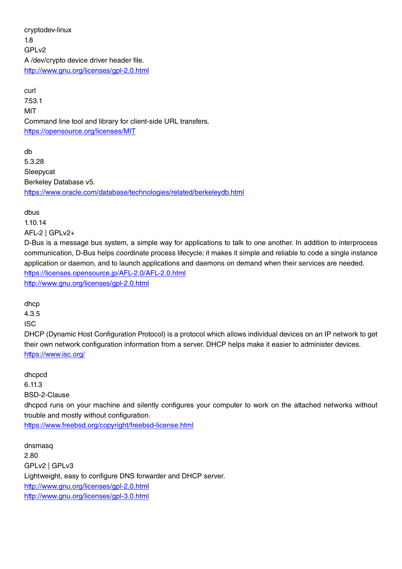cryptodev-linux 1.8 GPL<sub>v2</sub> A /dev/crypto device driver header file. <http://www.gnu.org/licenses/gpl-2.0.html>

curl 7.53.1 MIT Command line tool and library for client-side URL transfers. <https://opensource.org/licenses/MIT>

db 5.3.28 Sleepycat Berkeley Database v5. <https://www.oracle.com/database/technologies/related/berkeleydb.html>

dbus

1.10.14 AFL-2 | GPLv2+

D-Bus is a message bus system, a simple way for applications to talk to one another. In addition to interprocess communication, D-Bus helps coordinate process lifecycle; it makes it simple and reliable to code a single instance application or daemon, and to launch applications and daemons on demand when their services are needed. https://licenses.opensource.jp/AFL-2.0/AFL-2.0.html <http://www.gnu.org/licenses/gpl-2.0.html>

dhcp

4.3.5

ISC

DHCP (Dynamic Host Configuration Protocol) is a protocol which allows individual devices on an IP network to get their own network configuration information from a server. DHCP helps make it easier to administer devices. <https://www.isc.org/>

dhcpcd 6.11.3 BSD-2-Clause

dhcpcd runs on your machine and silently configures your computer to work on the attached networks without trouble and mostly without configuration.

<https://www.freebsd.org/copyright/freebsd-license.html>

dnsmasq 2.80 GPLv2 | GPLv3 Lightweight, easy to configure DNS forwarder and DHCP server. <http://www.gnu.org/licenses/gpl-2.0.html> <http://www.gnu.org/licenses/gpl-3.0.html>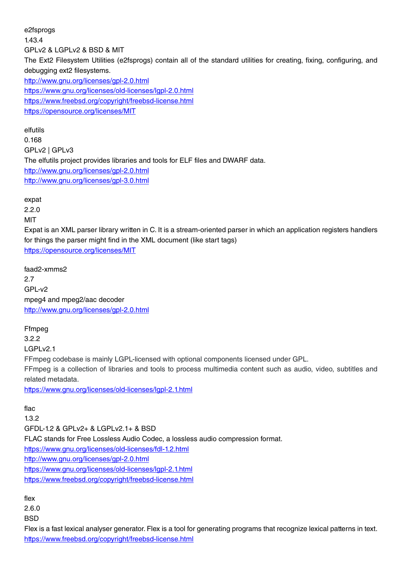e2fsprogs 1.43.4 GPLv2 & LGPLv2 & BSD & MIT The Ext2 Filesystem Utilities (e2fsprogs) contain all of the standard utilities for creating, fixing, configuring, and debugging ext2 filesystems. <http://www.gnu.org/licenses/gpl-2.0.html> <https://www.gnu.org/licenses/old-licenses/lgpl-2.0.html> <https://www.freebsd.org/copyright/freebsd-license.html> <https://opensource.org/licenses/MIT>

elfutils 0.168 GPLv2 | GPLv3 The elfutils project provides libraries and tools for ELF files and DWARF data. <http://www.gnu.org/licenses/gpl-2.0.html> <http://www.gnu.org/licenses/gpl-3.0.html>

2.2.0 MIT Expat is an XML parser library written in C. It is a stream-oriented parser in which an application registers handlers for things the parser might find in the XML document (like start tags) <https://opensource.org/licenses/MIT> faad2-xmms2 2.7 GPL-v2 mpeg4 and mpeg2/aac decoder <http://www.gnu.org/licenses/gpl-2.0.html>

expat

flex 2.6.0 **BSD** 

Ffmpeg 3.2.2 LGPLv2.1 FFmpeg codebase is mainly LGPL-licensed with optional components licensed under GPL. FFmpeg is a collection of libraries and tools to process multimedia content such as audio, video, subtitles and related metadata. <https://www.gnu.org/licenses/old-licenses/lgpl-2.1.html>

flac 1.3.2 GFDL-1.2 & GPLv2+ & LGPLv2.1+ & BSD FLAC stands for Free Lossless Audio Codec, a lossless audio compression format. <https://www.gnu.org/licenses/old-licenses/fdl-1.2.html> <http://www.gnu.org/licenses/gpl-2.0.html> <https://www.gnu.org/licenses/old-licenses/lgpl-2.1.html> <https://www.freebsd.org/copyright/freebsd-license.html>

Flex is a fast lexical analyser generator. Flex is a tool for generating programs that recognize lexical patterns in text. <https://www.freebsd.org/copyright/freebsd-license.html>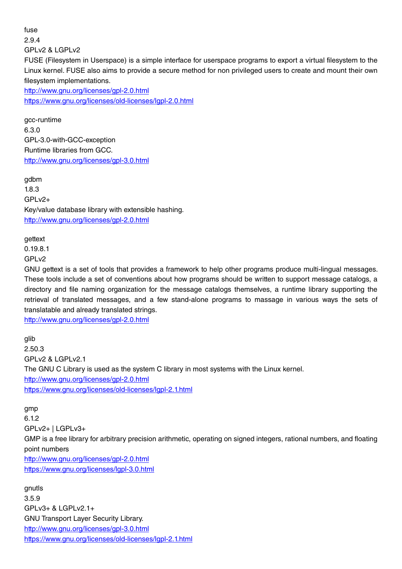fuse 2.9.4 GPLv2 & LGPLv2 FUSE (Filesystem in Userspace) is a simple interface for userspace programs to export a virtual filesystem to the Linux kernel. FUSE also aims to provide a secure method for non privileged users to create and mount their own filesystem implementations. <http://www.gnu.org/licenses/gpl-2.0.html> <https://www.gnu.org/licenses/old-licenses/lgpl-2.0.html>

gcc-runtime 6.3.0 GPL-3.0-with-GCC-exception Runtime libraries from GCC. <http://www.gnu.org/licenses/gpl-3.0.html>

gdbm 1.8.3  $GPIv2+$ Key/value database library with extensible hashing. <http://www.gnu.org/licenses/gpl-2.0.html>

gettext

0.19.8.1

GPLv2

GNU gettext is a set of tools that provides a framework to help other programs produce multi-lingual messages. These tools include a set of conventions about how programs should be written to support message catalogs, a directory and file naming organization for the message catalogs themselves, a runtime library supporting the retrieval of translated messages, and a few stand-alone programs to massage in various ways the sets of translatable and already translated strings.

<http://www.gnu.org/licenses/gpl-2.0.html>

glib

2.50.3 GPLv2 & LGPLv2.1 The GNU C Library is used as the system C library in most systems with the Linux kernel. <http://www.gnu.org/licenses/gpl-2.0.html> <https://www.gnu.org/licenses/old-licenses/lgpl-2.1.html>

gmp

6.1.2 GPLv2+ | LGPLv3+ GMP is a free library for arbitrary precision arithmetic, operating on signed integers, rational numbers, and floating point numbers <http://www.gnu.org/licenses/gpl-2.0.html> <https://www.gnu.org/licenses/lgpl-3.0.html>

gnutls 3.5.9 GPLv3+ & LGPLv2.1+ GNU Transport Layer Security Library. <http://www.gnu.org/licenses/gpl-3.0.html> <https://www.gnu.org/licenses/old-licenses/lgpl-2.1.html>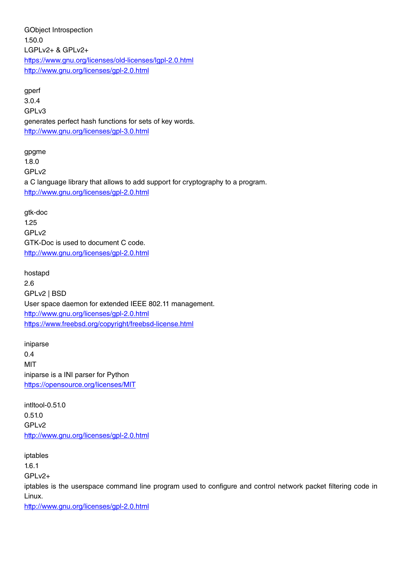GObject Introspection 1.50.0 LGPLv2+ & GPLv2+ <https://www.gnu.org/licenses/old-licenses/lgpl-2.0.html> <http://www.gnu.org/licenses/gpl-2.0.html>

gperf 3.0.4 GPLv3 generates perfect hash functions for sets of key words. <http://www.gnu.org/licenses/gpl-3.0.html>

gpgme 1.8.0 GPLv2 a C language library that allows to add support for cryptography to a program. <http://www.gnu.org/licenses/gpl-2.0.html>

gtk-doc 1.25 GPLv2 GTK-Doc is used to document C code. <http://www.gnu.org/licenses/gpl-2.0.html>

hostapd 2.6 GPLv2 | BSD User space daemon for extended IEEE 802.11 management. <http://www.gnu.org/licenses/gpl-2.0.html> <https://www.freebsd.org/copyright/freebsd-license.html>

iniparse 0.4 MIT iniparse is a INI parser for Python <https://opensource.org/licenses/MIT>

intltool-0.51.0 0.51.0 GPLv2 <http://www.gnu.org/licenses/gpl-2.0.html>

iptables 1.6.1 GPLv2+ iptables is the userspace command line program used to configure and control network packet filtering code in Linux. <http://www.gnu.org/licenses/gpl-2.0.html>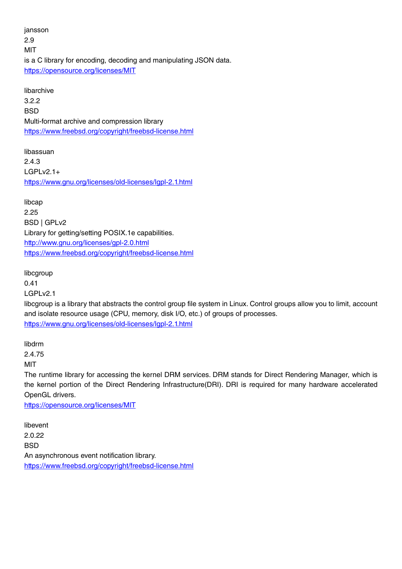jansson 2.9 MIT is a C library for encoding, decoding and manipulating JSON data. <https://opensource.org/licenses/MIT>

libarchive 3.2.2 **BSD** Multi-format archive and compression library <https://www.freebsd.org/copyright/freebsd-license.html>

libassuan 2.4.3 LGPLv2.1+ <https://www.gnu.org/licenses/old-licenses/lgpl-2.1.html>

libcap 2.25 BSD | GPLv2 Library for getting/setting POSIX.1e capabilities. <http://www.gnu.org/licenses/gpl-2.0.html> <https://www.freebsd.org/copyright/freebsd-license.html>

libcgroup 0.41 LGPLv2.1 libcgroup is a library that abstracts the control group file system in Linux. Control groups allow you to limit, account and isolate resource usage (CPU, memory, disk I/O, etc.) of groups of processes. <https://www.gnu.org/licenses/old-licenses/lgpl-2.1.html>

libdrm 2.4.75

MIT

The runtime library for accessing the kernel DRM services. DRM stands for Direct Rendering Manager, which is the kernel portion of the Direct Rendering Infrastructure(DRI). DRI is required for many hardware accelerated OpenGL drivers.

<https://opensource.org/licenses/MIT>

libevent 2.0.22 **BSD** An asynchronous event notification library. <https://www.freebsd.org/copyright/freebsd-license.html>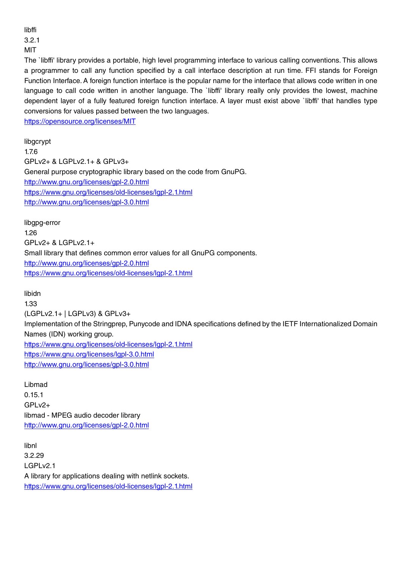libffi 3.2.1

MIT

The `libffi' library provides a portable, high level programming interface to various calling conventions. This allows a programmer to call any function specified by a call interface description at run time. FFI stands for Foreign Function Interface. A foreign function interface is the popular name for the interface that allows code written in one language to call code written in another language. The `libffi' library really only provides the lowest, machine dependent layer of a fully featured foreign function interface. A layer must exist above `libffi' that handles type conversions for values passed between the two languages.

<https://opensource.org/licenses/MIT>

libgcrypt 1.7.6 GPLv2+ & LGPLv2.1+ & GPLv3+ General purpose cryptographic library based on the code from GnuPG. <http://www.gnu.org/licenses/gpl-2.0.html> <https://www.gnu.org/licenses/old-licenses/lgpl-2.1.html> <http://www.gnu.org/licenses/gpl-3.0.html>

libgpg-error 1.26 GPLv2+ & LGPLv2.1+ Small library that defines common error values for all GnuPG components. <http://www.gnu.org/licenses/gpl-2.0.html> <https://www.gnu.org/licenses/old-licenses/lgpl-2.1.html>

libidn

1.33 (LGPLv2.1+ | LGPLv3) & GPLv3+ Implementation of the Stringprep, Punycode and IDNA specifications defined by the IETF Internationalized Domain Names (IDN) working group. <https://www.gnu.org/licenses/old-licenses/lgpl-2.1.html> <https://www.gnu.org/licenses/lgpl-3.0.html> <http://www.gnu.org/licenses/gpl-3.0.html>

Libmad 0.15.1  $GPIv2+$ libmad - MPEG audio decoder library <http://www.gnu.org/licenses/gpl-2.0.html>

libnl 3.2.29 LGPLv2.1 A library for applications dealing with netlink sockets. <https://www.gnu.org/licenses/old-licenses/lgpl-2.1.html>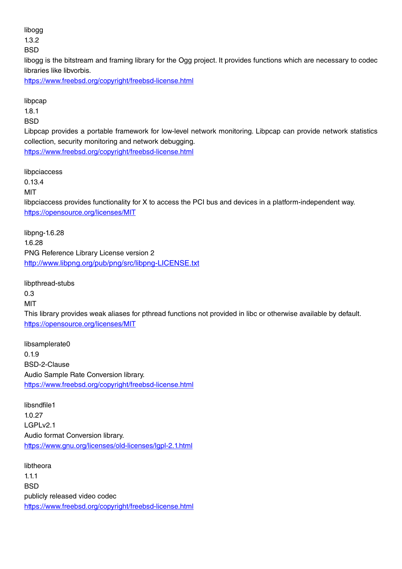## libogg

1.3.2

**BSD** 

libogg is the bitstream and framing library for the Ogg project. It provides functions which are necessary to codec libraries like libvorbis.

<https://www.freebsd.org/copyright/freebsd-license.html>

libpcap

1.8.1

**BSD** 

Libpcap provides a portable framework for low-level network monitoring. Libpcap can provide network statistics collection, security monitoring and network debugging. <https://www.freebsd.org/copyright/freebsd-license.html>

libpciaccess

0.13.4

MIT

libpciaccess provides functionality for X to access the PCI bus and devices in a platform-independent way. <https://opensource.org/licenses/MIT>

libpng-1.6.28 1.6.28 PNG Reference Library License version 2 <http://www.libpng.org/pub/png/src/libpng-LICENSE.txt>

libpthread-stubs 0.3 MIT This library provides weak aliases for pthread functions not provided in libc or otherwise available by default. <https://opensource.org/licenses/MIT>

libsamplerate0 0.1.9 BSD-2-Clause Audio Sample Rate Conversion library. <https://www.freebsd.org/copyright/freebsd-license.html>

libsndfile1 1.0.27 LGPLv2.1 Audio format Conversion library. <https://www.gnu.org/licenses/old-licenses/lgpl-2.1.html>

libtheora 1.1.1 **BSD** publicly released video codec <https://www.freebsd.org/copyright/freebsd-license.html>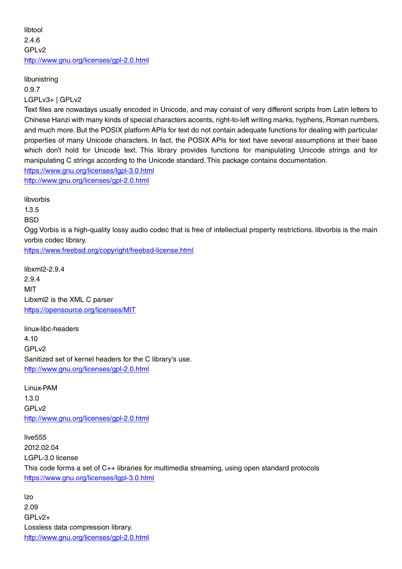libtool 2.4.6 GPL<sub>v2</sub> <http://www.gnu.org/licenses/gpl-2.0.html>

libunistring 0.9.7 LGPLv3+ | GPLv2

Text files are nowadays usually encoded in Unicode, and may consist of very different scripts from Latin letters to Chinese Hanzi with many kinds of special characters accents, right-to-left writing marks, hyphens, Roman numbers, and much more. But the POSIX platform APIs for text do not contain adequate functions for dealing with particular properties of many Unicode characters. In fact, the POSIX APIs for text have several assumptions at their base which don't hold for Unicode text. This library provides functions for manipulating Unicode strings and for manipulating C strings according to the Unicode standard. This package contains documentation. <https://www.gnu.org/licenses/lgpl-3.0.html> <http://www.gnu.org/licenses/gpl-2.0.html>

libvorbis 1.3.5 **BSD** Ogg Vorbis is a high-quality lossy audio codec that is free of intellectual property restrictions. libvorbis is the main vorbis codec library. <https://www.freebsd.org/copyright/freebsd-license.html>

libxml2-2.9.4 2.9.4 MIT Libxml2 is the XML C parser <https://opensource.org/licenses/MIT>

linux-libc-headers 4.10 GPLv2 Sanitized set of kernel headers for the C library's use. <http://www.gnu.org/licenses/gpl-2.0.html>

Linux-PAM 1.3.0 GPL<sub>v2</sub> <http://www.gnu.org/licenses/gpl-2.0.html>

live555 2012.02.04 LGPL-3.0 license This code forms a set of C++ libraries for multimedia streaming, using open standard protocols <https://www.gnu.org/licenses/lgpl-3.0.html>

lzo 2.09 GPLv2+ Lossless data compression library. <http://www.gnu.org/licenses/gpl-2.0.html>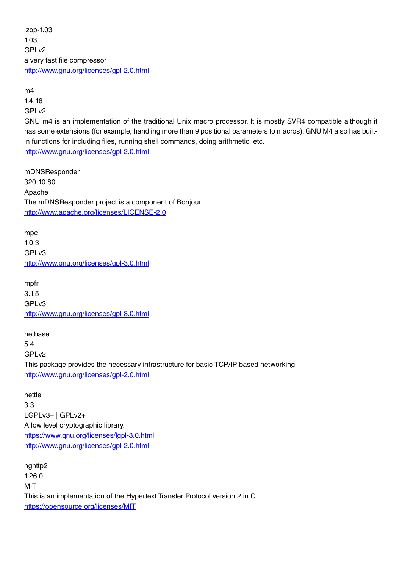lzop-1.03 1.03 GPL<sub>v2</sub> a very fast file compressor <http://www.gnu.org/licenses/gpl-2.0.html>

m4 1.4.18 GPLv2

GNU m4 is an implementation of the traditional Unix macro processor. It is mostly SVR4 compatible although it has some extensions (for example, handling more than 9 positional parameters to macros). GNU M4 also has builtin functions for including files, running shell commands, doing arithmetic, etc.

<http://www.gnu.org/licenses/gpl-2.0.html>

mDNSResponder 320.10.80 Apache The mDNSResponder project is a component of Bonjour <http://www.apache.org/licenses/LICENSE-2.0>

mpc 1.0.3 GPLv3 <http://www.gnu.org/licenses/gpl-3.0.html>

mpfr 3.1.5 GPLv3 [http://www.gnu.org/licenses/gpl-3.0.html](http://www.gnu.org/licenses/gpl-2.0.html)

netbase 5.4 GPLv2 This package provides the necessary infrastructure for basic TCP/IP based networking <http://www.gnu.org/licenses/gpl-2.0.html>

nettle 3.3 LGPLv3+ | GPLv2+ A low level cryptographic library. <https://www.gnu.org/licenses/lgpl-3.0.html> <http://www.gnu.org/licenses/gpl-2.0.html>

nghttp2 1.26.0 **MIT** This is an implementation of the Hypertext Transfer Protocol version 2 in C <https://opensource.org/licenses/MIT>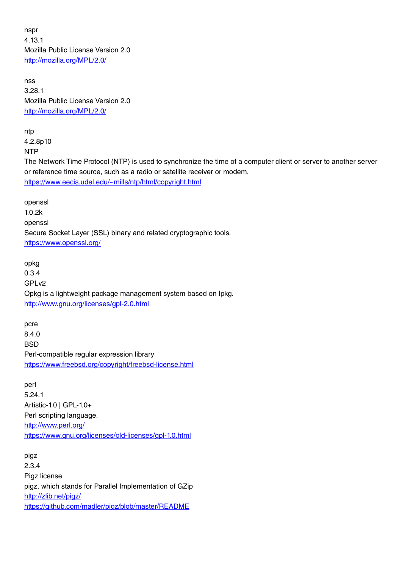nspr 4.13.1 Mozilla Public License Version 2.0 <http://mozilla.org/MPL/2.0/>

nss 3.28.1 Mozilla Public License Version 2.0 <http://mozilla.org/MPL/2.0/>

ntp 4.2.8p10 NTP

The Network Time Protocol (NTP) is used to synchronize the time of a computer client or server to another server or reference time source, such as a radio or satellite receiver or modem. [https://www.eecis.udel.edu/~mills/ntp/html/copyright.html](https://www.eecis.udel.edu/%7Emills/ntp/html/copyright.html)

openssl 1.0.2k openssl Secure Socket Layer (SSL) binary and related cryptographic tools. <https://www.openssl.org/>

opkg 0.3.4 GPLv2 Opkg is a lightweight package management system based on Ipkg. <http://www.gnu.org/licenses/gpl-2.0.html>

pcre 8.4.0 **BSD** Perl-compatible regular expression library <https://www.freebsd.org/copyright/freebsd-license.html>

perl 5.24.1 Artistic-1.0 | GPL-1.0+ Perl scripting language. <http://www.perl.org/> <https://www.gnu.org/licenses/old-licenses/gpl-1.0.html>

pigz 2.3.4 Pigz license pigz, which stands for Parallel Implementation of GZip <http://zlib.net/pigz/> <https://github.com/madler/pigz/blob/master/README>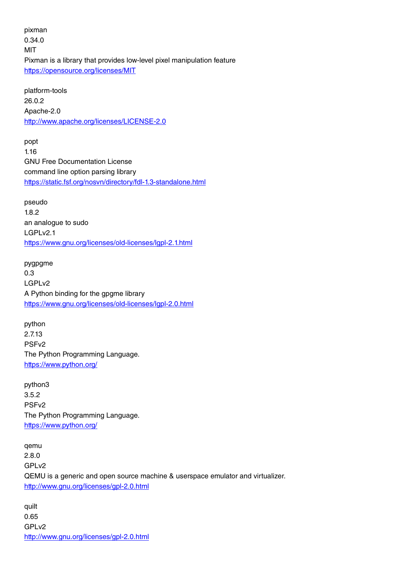pixman 0.34.0 MIT Pixman is a library that provides low-level pixel manipulation feature <https://opensource.org/licenses/MIT>

platform-tools 26.0.2 Apache-2.0 <http://www.apache.org/licenses/LICENSE-2.0>

popt 1.16 GNU Free Documentation License command line option parsing library <https://static.fsf.org/nosvn/directory/fdl-1.3-standalone.html>

pseudo 1.8.2 an analogue to sudo LGPLv2.1 <https://www.gnu.org/licenses/old-licenses/lgpl-2.1.html>

pygpgme 0.3 LGPLv2 A Python binding for the gpgme library <https://www.gnu.org/licenses/old-licenses/lgpl-2.0.html>

python 2.7.13 PSFv2 The Python Programming Language. <https://www.python.org/>

python3 3.5.2 PSFv2 The Python Programming Language. <https://www.python.org/>

qemu 2.8.0 GPLv2 QEMU is a generic and open source machine & userspace emulator and virtualizer. <http://www.gnu.org/licenses/gpl-2.0.html>

quilt 0.65 GPLv2 <http://www.gnu.org/licenses/gpl-2.0.html>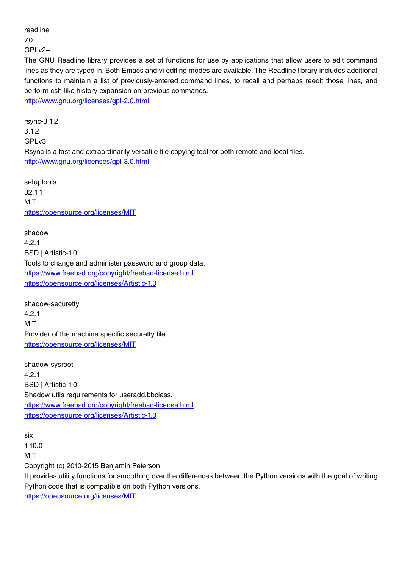readline

7.0

GPLv2+

The GNU Readline library provides a set of functions for use by applications that allow users to edit command lines as they are typed in. Both Emacs and vi editing modes are available. The Readline library includes additional functions to maintain a list of previously-entered command lines, to recall and perhaps reedit those lines, and perform csh-like history expansion on previous commands.

<http://www.gnu.org/licenses/gpl-2.0.html>

rsync-3.1.2 3.1.2 GPLv3 Rsync is a fast and extraordinarily versatile file copying tool for both remote and local files. <http://www.gnu.org/licenses/gpl-3.0.html>

setuptools 32.1.1 MIT <https://opensource.org/licenses/MIT>

shadow 4.2.1 BSD | Artistic-1.0 Tools to change and administer password and group data. <https://www.freebsd.org/copyright/freebsd-license.html> <https://opensource.org/licenses/Artistic-1.0>

shadow-securetty 4.2.1 **MIT** Provider of the machine specific securetty file. <https://opensource.org/licenses/MIT>

shadow-sysroot 4.2.1 BSD | Artistic-1.0 Shadow utils requirements for useradd.bbclass. <https://www.freebsd.org/copyright/freebsd-license.html> <https://opensource.org/licenses/Artistic-1.0>

six 1.10.0 MIT Copyright (c) 2010-2015 Benjamin Peterson It provides utility functions for smoothing over the differences between the Python versions with the goal of writing Python code that is compatible on both Python versions.

<https://opensource.org/licenses/MIT>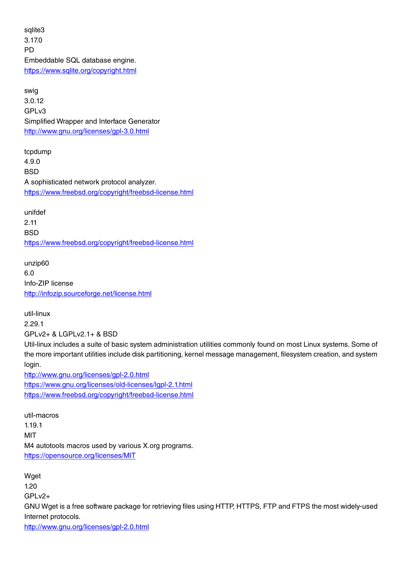sqlite3 3.17.0 **PD** Embeddable SQL database engine. <https://www.sqlite.org/copyright.html>

swig 3.0.12 GPL<sub>v3</sub> Simplified Wrapper and Interface Generator <http://www.gnu.org/licenses/gpl-3.0.html>

tcpdump 4.9.0 **BSD** A sophisticated network protocol analyzer. <https://www.freebsd.org/copyright/freebsd-license.html>

unifdef 2.11 **BSD** <https://www.freebsd.org/copyright/freebsd-license.html>

unzip60 6.0 Info-ZIP license <http://infozip.sourceforge.net/license.html>

util-linux 2.29.1 GPLv2+ & LGPLv2.1+ & BSD Util-linux includes a suite of basic system administration utilities commonly found on most Linux systems. Some of the more important utilities include disk partitioning, kernel message management, filesystem creation, and system

login. <http://www.gnu.org/licenses/gpl-2.0.html> <https://www.gnu.org/licenses/old-licenses/lgpl-2.1.html> <https://www.freebsd.org/copyright/freebsd-license.html>

util-macros 1.19.1 MIT M4 autotools macros used by various X.org programs. <https://opensource.org/licenses/MIT>

Waet 1.20 GPLv2+ GNU Wget is a free software package for retrieving files using HTTP, HTTPS, FTP and FTPS the most widely-used Internet protocols. <http://www.gnu.org/licenses/gpl-2.0.html>